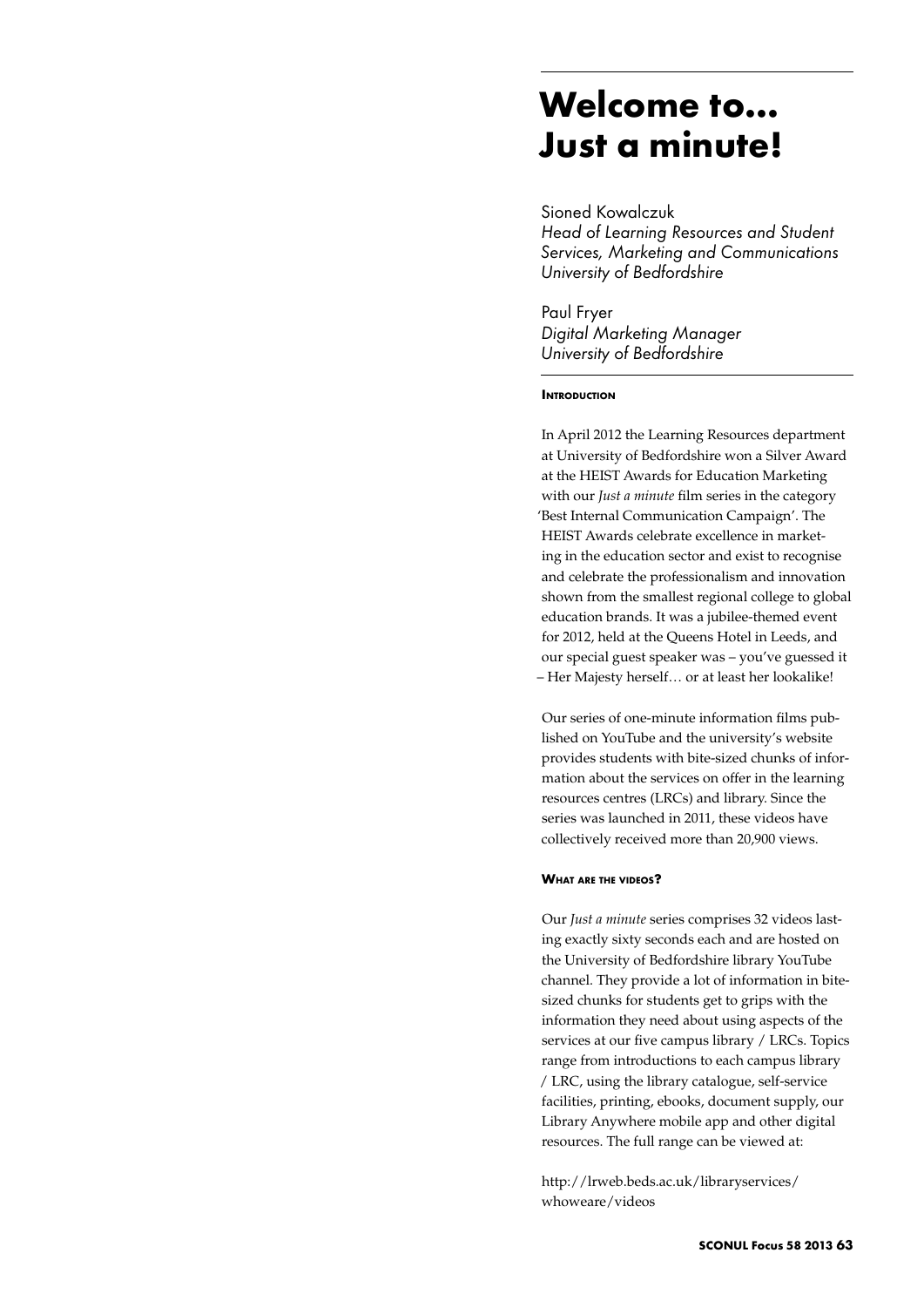# **Welcome to... Just a minute!**

Sioned Kowalczuk *Head of Learning Resources and Student Services, Marketing and Communications University of Bedfordshire*

Paul Fryer *Digital Marketing Manager University of Bedfordshire*

## **INTRODUCTION**

In April 2012 the Learning Resources department at University of Bedfordshire won a Silver Award at the HEIST Awards for Education Marketing with our *Just a minute* film series in the category 'Best Internal Communication Campaign'. The HEIST Awards celebrate excellence in marketing in the education sector and exist to recognise and celebrate the professionalism and innovation shown from the smallest regional college to global education brands. It was a jubilee-themed event for 2012, held at the Queens Hotel in Leeds, and our special guest speaker was – you've guessed it – Her Majesty herself… or at least her lookalike!

Our series of one-minute information films published on YouTube and the university's website provides students with bite-sized chunks of information about the services on offer in the learning resources centres (LRCs) and library. Since the series was launched in 2011, these videos have collectively received more than 20,900 views.

## **What are the videos?**

Our *Just a minute* series comprises 32 videos lasting exactly sixty seconds each and are hosted on the University of Bedfordshire library YouTube channel. They provide a lot of information in bitesized chunks for students get to grips with the information they need about using aspects of the services at our five campus library / LRCs. Topics range from introductions to each campus library / LRC, using the library catalogue, self-service facilities, printing, ebooks, document supply, our Library Anywhere mobile app and other digital resources. The full range can be viewed at:

http://lrweb.beds.ac.uk/libraryservices/ whoweare/videos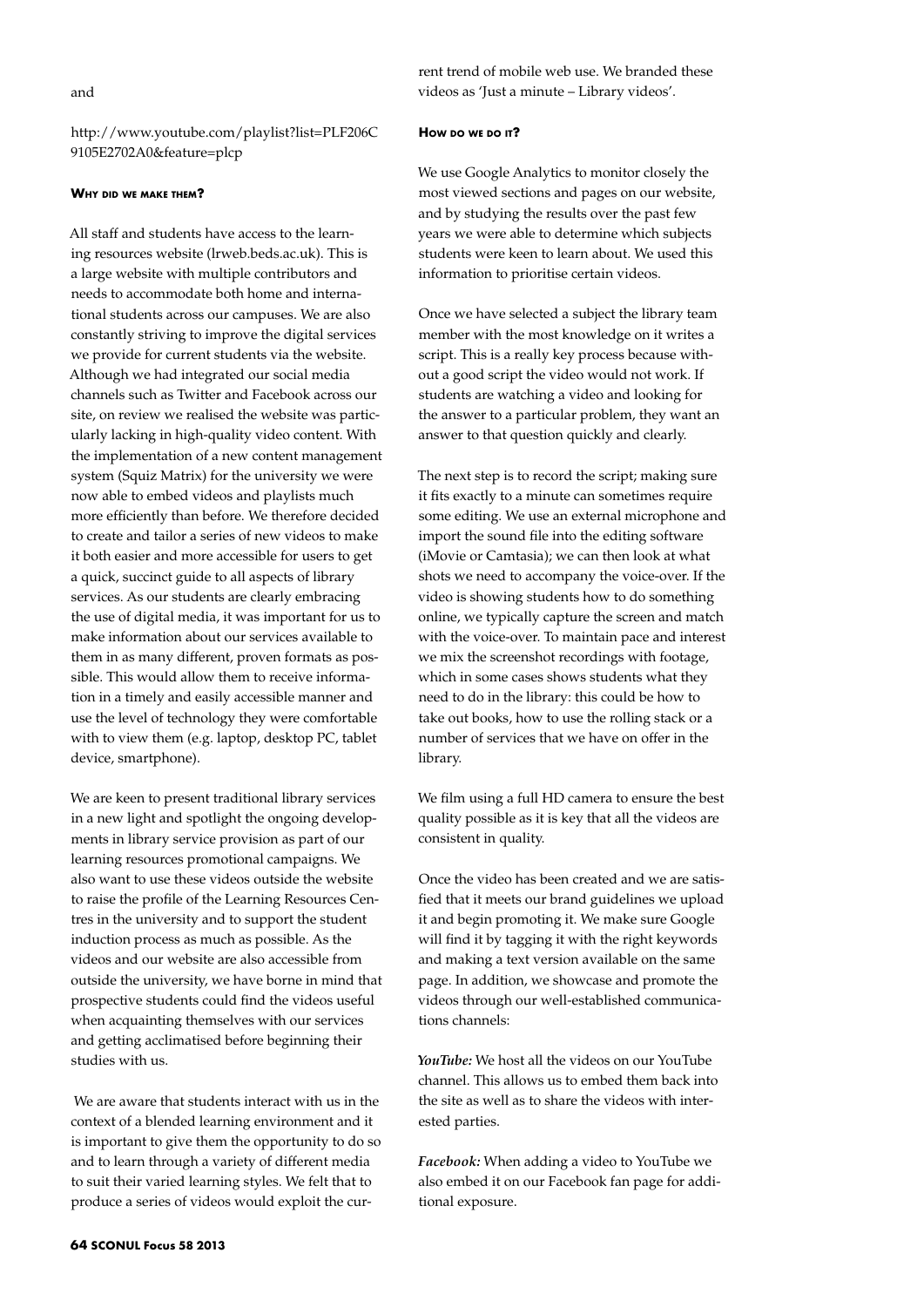http://www.youtube.com/playlist?list=PLF206C 9105E2702A0&feature=plcp

#### **Why did we make them?**

All staff and students have access to the learning resources website (lrweb.beds.ac.uk). This is a large website with multiple contributors and needs to accommodate both home and international students across our campuses. We are also constantly striving to improve the digital services we provide for current students via the website. Although we had integrated our social media channels such as Twitter and Facebook across our site, on review we realised the website was particularly lacking in high-quality video content. With the implementation of a new content management system (Squiz Matrix) for the university we were now able to embed videos and playlists much more efficiently than before. We therefore decided to create and tailor a series of new videos to make it both easier and more accessible for users to get a quick, succinct guide to all aspects of library services. As our students are clearly embracing the use of digital media, it was important for us to make information about our services available to them in as many different, proven formats as possible. This would allow them to receive information in a timely and easily accessible manner and use the level of technology they were comfortable with to view them (e.g. laptop, desktop PC, tablet device, smartphone).

We are keen to present traditional library services in a new light and spotlight the ongoing developments in library service provision as part of our learning resources promotional campaigns. We also want to use these videos outside the website to raise the profile of the Learning Resources Centres in the university and to support the student induction process as much as possible. As the videos and our website are also accessible from outside the university, we have borne in mind that prospective students could find the videos useful when acquainting themselves with our services and getting acclimatised before beginning their studies with us.

 We are aware that students interact with us in the context of a blended learning environment and it is important to give them the opportunity to do so and to learn through a variety of different media to suit their varied learning styles. We felt that to produce a series of videos would exploit the cur-

rent trend of mobile web use. We branded these videos as 'Just a minute – Library videos'.

#### **How do we do it?**

We use Google Analytics to monitor closely the most viewed sections and pages on our website, and by studying the results over the past few years we were able to determine which subjects students were keen to learn about. We used this information to prioritise certain videos.

Once we have selected a subject the library team member with the most knowledge on it writes a script. This is a really key process because without a good script the video would not work. If students are watching a video and looking for the answer to a particular problem, they want an answer to that question quickly and clearly.

The next step is to record the script; making sure it fits exactly to a minute can sometimes require some editing. We use an external microphone and import the sound file into the editing software (iMovie or Camtasia); we can then look at what shots we need to accompany the voice-over. If the video is showing students how to do something online, we typically capture the screen and match with the voice-over. To maintain pace and interest we mix the screenshot recordings with footage, which in some cases shows students what they need to do in the library: this could be how to take out books, how to use the rolling stack or a number of services that we have on offer in the library.

We film using a full HD camera to ensure the best quality possible as it is key that all the videos are consistent in quality.

Once the video has been created and we are satisfied that it meets our brand guidelines we upload it and begin promoting it. We make sure Google will find it by tagging it with the right keywords and making a text version available on the same page. In addition, we showcase and promote the videos through our well-established communications channels:

*YouTube:* We host all the videos on our YouTube channel. This allows us to embed them back into the site as well as to share the videos with interested parties.

*Facebook:* When adding a video to YouTube we also embed it on our Facebook fan page for additional exposure.